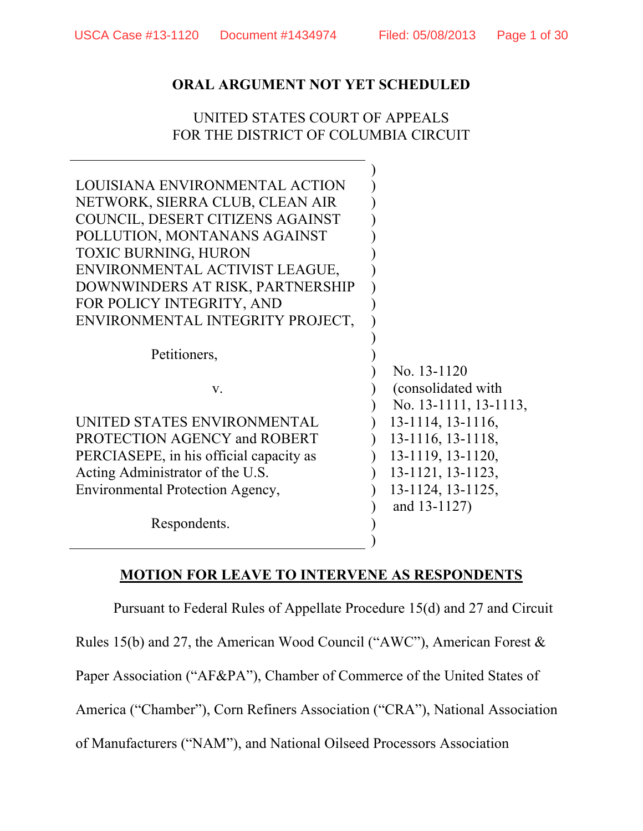## UNITED STATES COURT OF APPEALS FOR THE DISTRICT OF COLUMBIA CIRCUIT

| LOUISIANA ENVIRONMENTAL ACTION<br>NETWORK, SIERRA CLUB, CLEAN AIR<br>COUNCIL, DESERT CITIZENS AGAINST<br>POLLUTION, MONTANANS AGAINST<br><b>TOXIC BURNING, HURON</b><br>ENVIRONMENTAL ACTIVIST LEAGUE,<br>DOWNWINDERS AT RISK, PARTNERSHIP<br>FOR POLICY INTEGRITY, AND<br>ENVIRONMENTAL INTEGRITY PROJECT, |                                                             |
|-------------------------------------------------------------------------------------------------------------------------------------------------------------------------------------------------------------------------------------------------------------------------------------------------------------|-------------------------------------------------------------|
| Petitioners,                                                                                                                                                                                                                                                                                                |                                                             |
| V.                                                                                                                                                                                                                                                                                                          | No. 13-1120<br>(consolidated with)<br>No. 13-1111, 13-1113, |
| UNITED STATES ENVIRONMENTAL                                                                                                                                                                                                                                                                                 | 13-1114, 13-1116,                                           |
| PROTECTION AGENCY and ROBERT                                                                                                                                                                                                                                                                                | 13-1116, 13-1118,                                           |
| PERCIASEPE, in his official capacity as                                                                                                                                                                                                                                                                     | 13-1119, 13-1120,                                           |
| Acting Administrator of the U.S.                                                                                                                                                                                                                                                                            | 13-1121, 13-1123,                                           |
| Environmental Protection Agency,                                                                                                                                                                                                                                                                            | 13-1124, 13-1125,                                           |
| Respondents.                                                                                                                                                                                                                                                                                                | and 13-1127)                                                |

#### **MOTION FOR LEAVE TO INTERVENE AS RESPONDENTS**

Pursuant to Federal Rules of Appellate Procedure 15(d) and 27 and Circuit

Rules 15(b) and 27, the American Wood Council ("AWC"), American Forest &

Paper Association ("AF&PA"), Chamber of Commerce of the United States of

America ("Chamber"), Corn Refiners Association ("CRA"), National Association

of Manufacturers ("NAM"), and National Oilseed Processors Association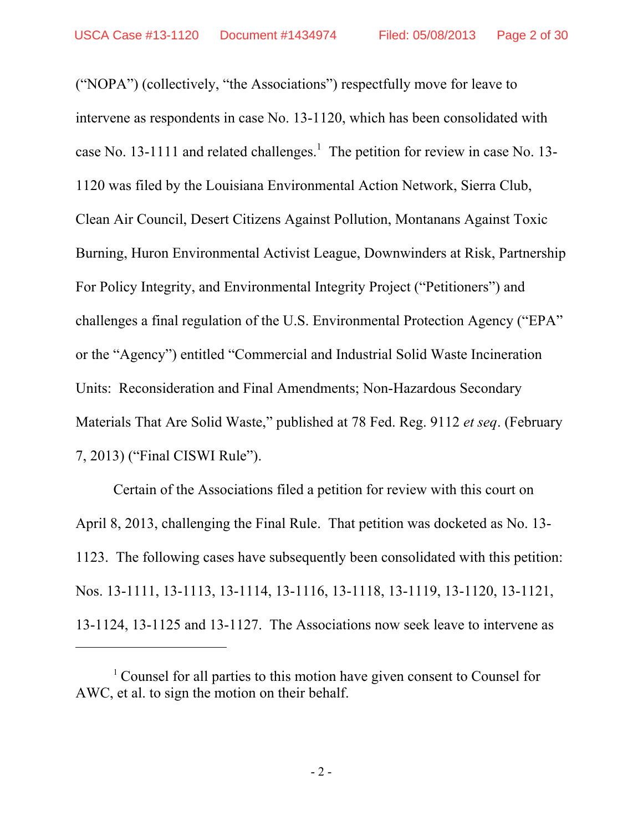("NOPA") (collectively, "the Associations") respectfully move for leave to intervene as respondents in case No. 13-1120, which has been consolidated with case No. 13-1111 and related challenges.<sup>1</sup> The petition for review in case No. 13-1120 was filed by the Louisiana Environmental Action Network, Sierra Club, Clean Air Council, Desert Citizens Against Pollution, Montanans Against Toxic Burning, Huron Environmental Activist League, Downwinders at Risk, Partnership For Policy Integrity, and Environmental Integrity Project ("Petitioners") and challenges a final regulation of the U.S. Environmental Protection Agency ("EPA" or the "Agency") entitled "Commercial and Industrial Solid Waste Incineration Units: Reconsideration and Final Amendments; Non-Hazardous Secondary Materials That Are Solid Waste," published at 78 Fed. Reg. 9112 *et seq*. (February 7, 2013) ("Final CISWI Rule").

Certain of the Associations filed a petition for review with this court on April 8, 2013, challenging the Final Rule. That petition was docketed as No. 13- 1123. The following cases have subsequently been consolidated with this petition: Nos. 13-1111, 13-1113, 13-1114, 13-1116, 13-1118, 13-1119, 13-1120, 13-1121, 13-1124, 13-1125 and 13-1127. The Associations now seek leave to intervene as

 $\overline{a}$ 

<sup>1</sup> Counsel for all parties to this motion have given consent to Counsel for AWC, et al. to sign the motion on their behalf.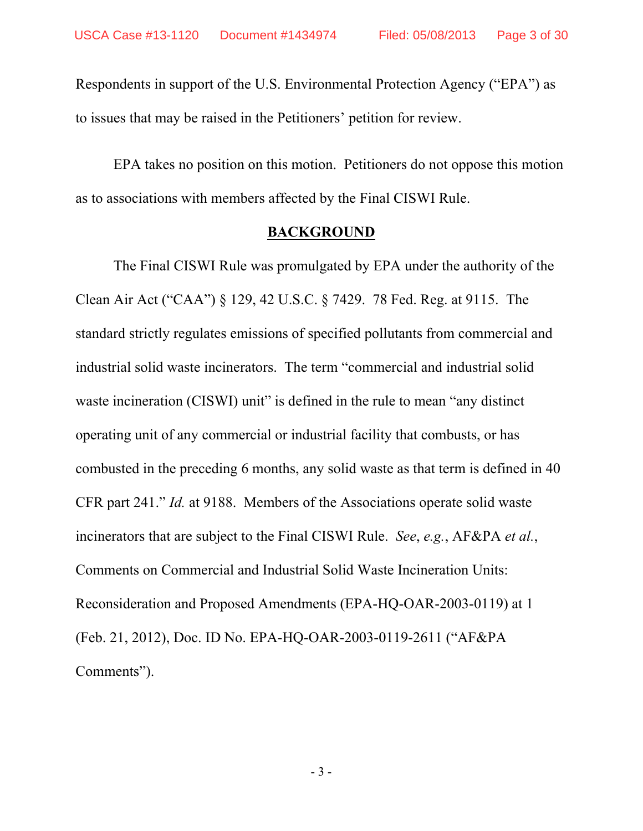Respondents in support of the U.S. Environmental Protection Agency ("EPA") as to issues that may be raised in the Petitioners' petition for review.

EPA takes no position on this motion. Petitioners do not oppose this motion as to associations with members affected by the Final CISWI Rule.

#### **BACKGROUND**

 The Final CISWI Rule was promulgated by EPA under the authority of the Clean Air Act ("CAA") § 129, 42 U.S.C. § 7429. 78 Fed. Reg. at 9115. The standard strictly regulates emissions of specified pollutants from commercial and industrial solid waste incinerators. The term "commercial and industrial solid waste incineration (CISWI) unit" is defined in the rule to mean "any distinct" operating unit of any commercial or industrial facility that combusts, or has combusted in the preceding 6 months, any solid waste as that term is defined in 40 CFR part 241." *Id.* at 9188. Members of the Associations operate solid waste incinerators that are subject to the Final CISWI Rule. *See*, *e.g.*, AF&PA *et al.*, Comments on Commercial and Industrial Solid Waste Incineration Units: Reconsideration and Proposed Amendments (EPA-HQ-OAR-2003-0119) at 1 (Feb. 21, 2012), Doc. ID No. EPA-HQ-OAR-2003-0119-2611 ("AF&PA Comments").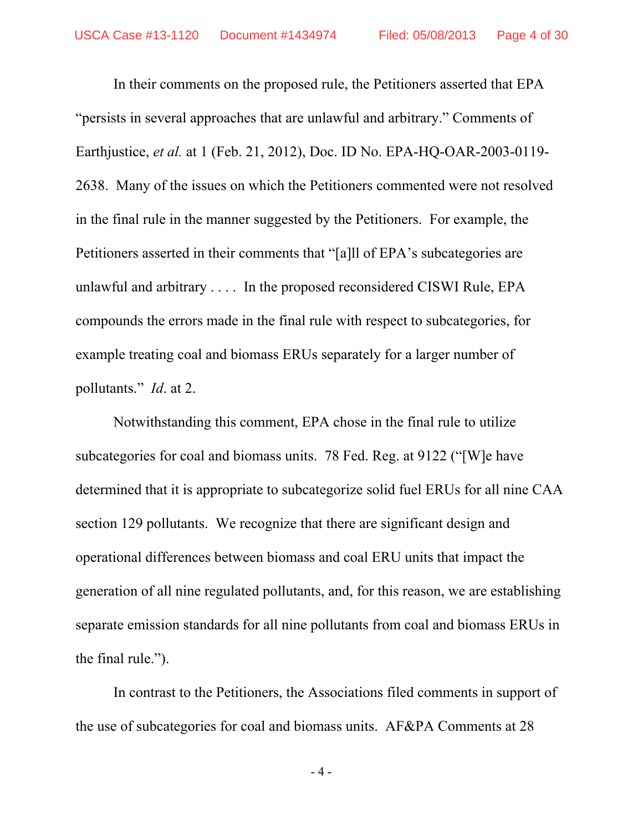In their comments on the proposed rule, the Petitioners asserted that EPA "persists in several approaches that are unlawful and arbitrary." Comments of Earthjustice, *et al.* at 1 (Feb. 21, 2012), Doc. ID No. EPA-HQ-OAR-2003-0119- 2638. Many of the issues on which the Petitioners commented were not resolved in the final rule in the manner suggested by the Petitioners. For example, the Petitioners asserted in their comments that "[a]ll of EPA's subcategories are unlawful and arbitrary . . . . In the proposed reconsidered CISWI Rule, EPA compounds the errors made in the final rule with respect to subcategories, for example treating coal and biomass ERUs separately for a larger number of pollutants." *Id*. at 2.

 Notwithstanding this comment, EPA chose in the final rule to utilize subcategories for coal and biomass units. 78 Fed. Reg. at 9122 ("[W]e have determined that it is appropriate to subcategorize solid fuel ERUs for all nine CAA section 129 pollutants. We recognize that there are significant design and operational differences between biomass and coal ERU units that impact the generation of all nine regulated pollutants, and, for this reason, we are establishing separate emission standards for all nine pollutants from coal and biomass ERUs in the final rule.").

 In contrast to the Petitioners, the Associations filed comments in support of the use of subcategories for coal and biomass units. AF&PA Comments at 28

- 4 -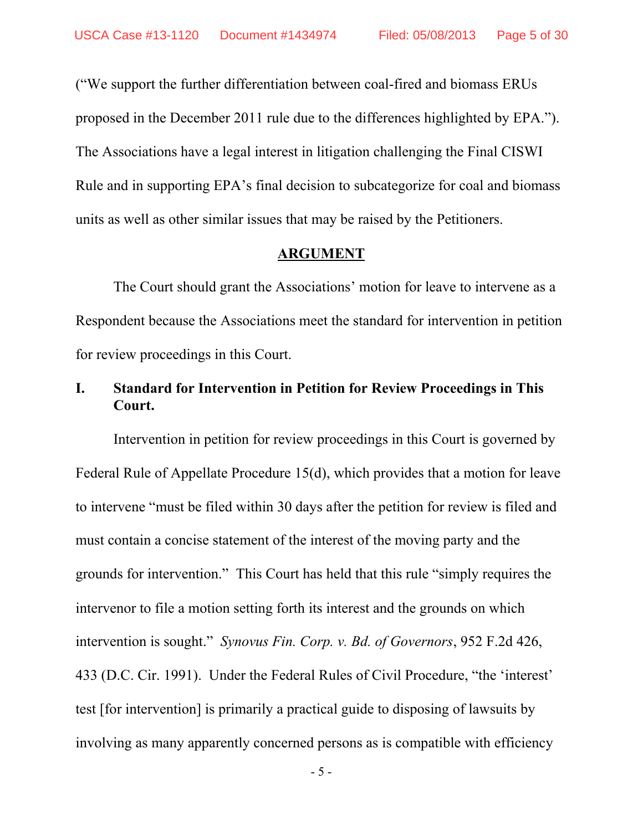("We support the further differentiation between coal-fired and biomass ERUs proposed in the December 2011 rule due to the differences highlighted by EPA."). The Associations have a legal interest in litigation challenging the Final CISWI Rule and in supporting EPA's final decision to subcategorize for coal and biomass units as well as other similar issues that may be raised by the Petitioners.

#### **ARGUMENT**

The Court should grant the Associations' motion for leave to intervene as a Respondent because the Associations meet the standard for intervention in petition for review proceedings in this Court.

## **I. Standard for Intervention in Petition for Review Proceedings in This Court.**

Intervention in petition for review proceedings in this Court is governed by Federal Rule of Appellate Procedure 15(d), which provides that a motion for leave to intervene "must be filed within 30 days after the petition for review is filed and must contain a concise statement of the interest of the moving party and the grounds for intervention." This Court has held that this rule "simply requires the intervenor to file a motion setting forth its interest and the grounds on which intervention is sought." *Synovus Fin. Corp. v. Bd. of Governors*, 952 F.2d 426, 433 (D.C. Cir. 1991). Under the Federal Rules of Civil Procedure, "the 'interest' test [for intervention] is primarily a practical guide to disposing of lawsuits by involving as many apparently concerned persons as is compatible with efficiency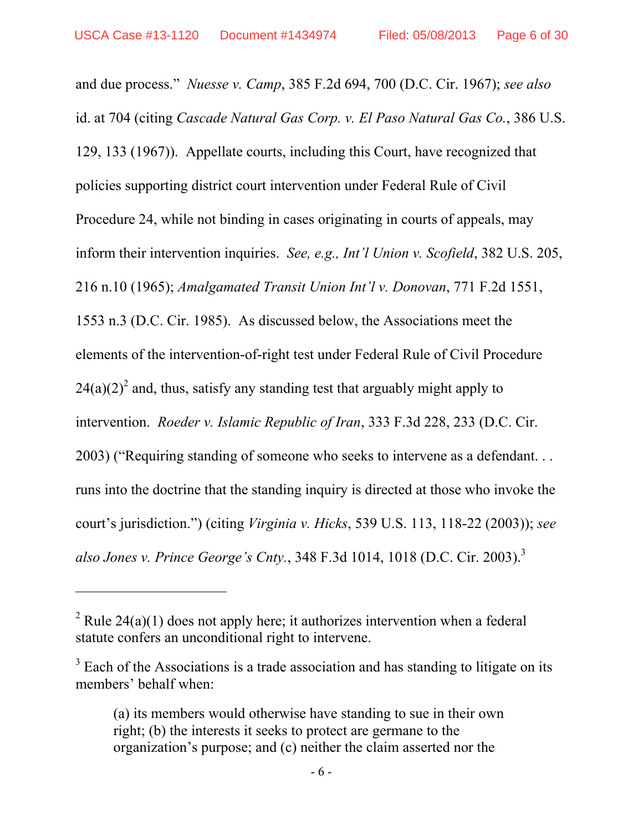$\overline{a}$ 

and due process." *Nuesse v. Camp*, 385 F.2d 694, 700 (D.C. Cir. 1967); *see also*  id. at 704 (citing *Cascade Natural Gas Corp. v. El Paso Natural Gas Co.*, 386 U.S. 129, 133 (1967)). Appellate courts, including this Court, have recognized that policies supporting district court intervention under Federal Rule of Civil Procedure 24, while not binding in cases originating in courts of appeals, may inform their intervention inquiries. *See, e.g., Int'l Union v. Scofield*, 382 U.S. 205, 216 n.10 (1965); *Amalgamated Transit Union Int'l v. Donovan*, 771 F.2d 1551, 1553 n.3 (D.C. Cir. 1985). As discussed below, the Associations meet the elements of the intervention-of-right test under Federal Rule of Civil Procedure  $24(a)(2)^2$  and, thus, satisfy any standing test that arguably might apply to intervention. *Roeder v. Islamic Republic of Iran*, 333 F.3d 228, 233 (D.C. Cir. 2003) ("Requiring standing of someone who seeks to intervene as a defendant. . . runs into the doctrine that the standing inquiry is directed at those who invoke the court's jurisdiction.") (citing *Virginia v. Hicks*, 539 U.S. 113, 118-22 (2003)); *see also Jones v. Prince George's Cnty.*, 348 F.3d 1014, 1018 (D.C. Cir. 2003).3

<sup>&</sup>lt;sup>2</sup> Rule 24(a)(1) does not apply here; it authorizes intervention when a federal statute confers an unconditional right to intervene.

 $3$  Each of the Associations is a trade association and has standing to litigate on its members' behalf when:

<sup>(</sup>a) its members would otherwise have standing to sue in their own right; (b) the interests it seeks to protect are germane to the organization's purpose; and (c) neither the claim asserted nor the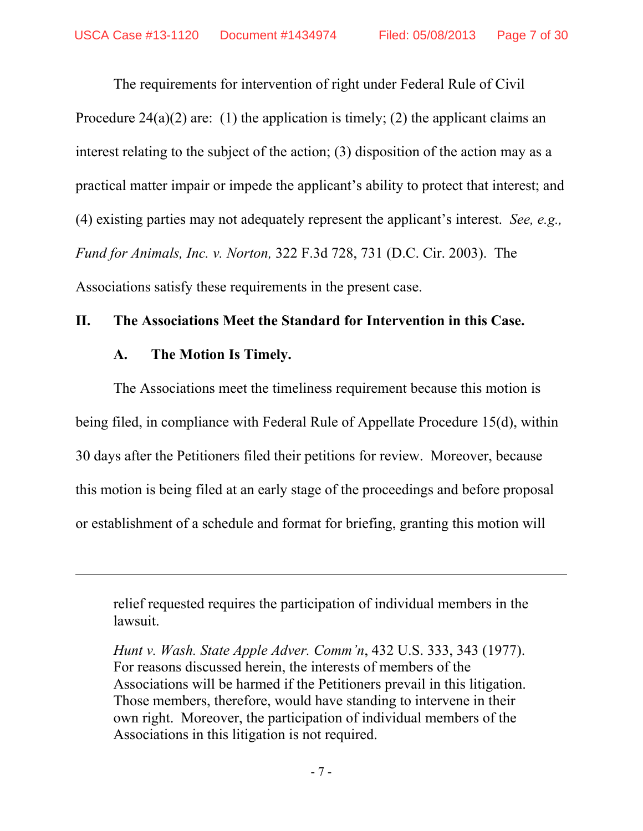The requirements for intervention of right under Federal Rule of Civil Procedure 24(a)(2) are: (1) the application is timely; (2) the applicant claims an interest relating to the subject of the action; (3) disposition of the action may as a practical matter impair or impede the applicant's ability to protect that interest; and (4) existing parties may not adequately represent the applicant's interest. *See, e.g., Fund for Animals, Inc. v. Norton,* 322 F.3d 728, 731 (D.C. Cir. 2003). The Associations satisfy these requirements in the present case.

#### **II. The Associations Meet the Standard for Intervention in this Case.**

### **A. The Motion Is Timely.**

 $\overline{a}$ 

The Associations meet the timeliness requirement because this motion is being filed, in compliance with Federal Rule of Appellate Procedure 15(d), within 30 days after the Petitioners filed their petitions for review. Moreover, because this motion is being filed at an early stage of the proceedings and before proposal or establishment of a schedule and format for briefing, granting this motion will

relief requested requires the participation of individual members in the lawsuit.

*Hunt v. Wash. State Apple Adver. Comm'n*, 432 U.S. 333, 343 (1977). For reasons discussed herein, the interests of members of the Associations will be harmed if the Petitioners prevail in this litigation. Those members, therefore, would have standing to intervene in their own right. Moreover, the participation of individual members of the Associations in this litigation is not required.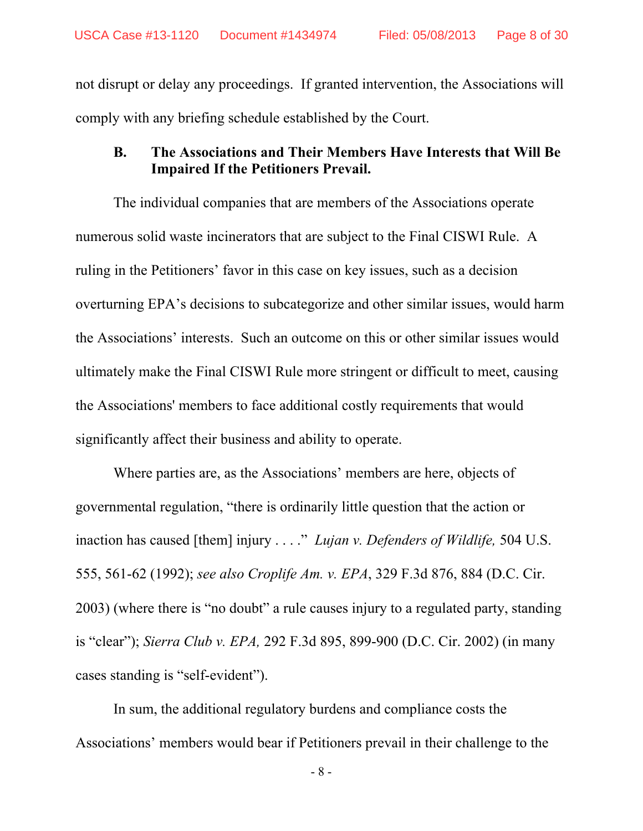not disrupt or delay any proceedings. If granted intervention, the Associations will comply with any briefing schedule established by the Court.

### **B. The Associations and Their Members Have Interests that Will Be Impaired If the Petitioners Prevail.**

The individual companies that are members of the Associations operate numerous solid waste incinerators that are subject to the Final CISWI Rule. A ruling in the Petitioners' favor in this case on key issues, such as a decision overturning EPA's decisions to subcategorize and other similar issues, would harm the Associations' interests. Such an outcome on this or other similar issues would ultimately make the Final CISWI Rule more stringent or difficult to meet, causing the Associations' members to face additional costly requirements that would significantly affect their business and ability to operate.

 Where parties are, as the Associations' members are here, objects of governmental regulation, "there is ordinarily little question that the action or inaction has caused [them] injury . . . ." *Lujan v. Defenders of Wildlife,* 504 U.S. 555, 561-62 (1992); *see also Croplife Am. v. EPA*, 329 F.3d 876, 884 (D.C. Cir. 2003) (where there is "no doubt" a rule causes injury to a regulated party, standing is "clear"); *Sierra Club v. EPA,* 292 F.3d 895, 899-900 (D.C. Cir. 2002) (in many cases standing is "self-evident").

In sum, the additional regulatory burdens and compliance costs the Associations' members would bear if Petitioners prevail in their challenge to the

- 8 -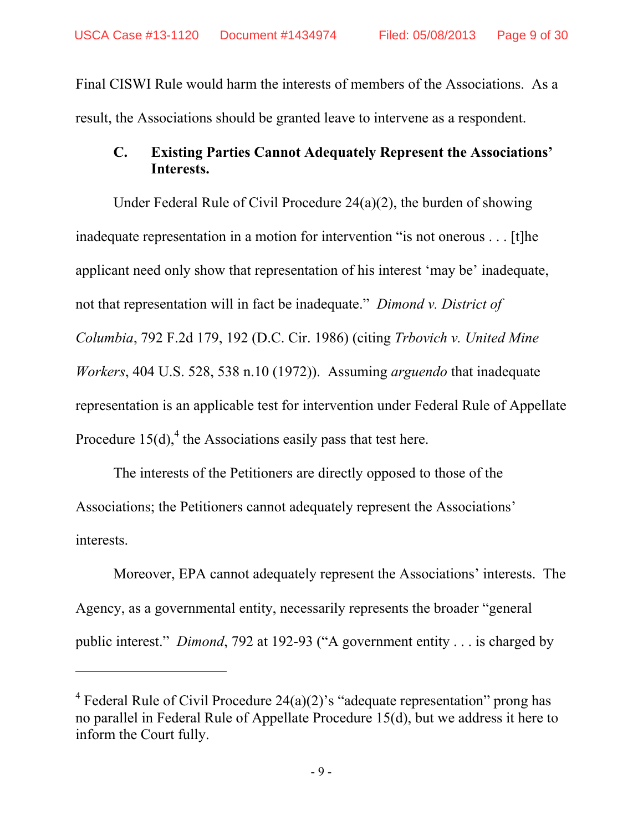Final CISWI Rule would harm the interests of members of the Associations. As a result, the Associations should be granted leave to intervene as a respondent.

# **C. Existing Parties Cannot Adequately Represent the Associations' Interests.**

Under Federal Rule of Civil Procedure 24(a)(2), the burden of showing inadequate representation in a motion for intervention "is not onerous . . . [t]he applicant need only show that representation of his interest 'may be' inadequate, not that representation will in fact be inadequate." *Dimond v. District of Columbia*, 792 F.2d 179, 192 (D.C. Cir. 1986) (citing *Trbovich v. United Mine Workers*, 404 U.S. 528, 538 n.10 (1972)). Assuming *arguendo* that inadequate representation is an applicable test for intervention under Federal Rule of Appellate Procedure  $15(d)$ ,<sup>4</sup> the Associations easily pass that test here.

The interests of the Petitioners are directly opposed to those of the Associations; the Petitioners cannot adequately represent the Associations' interests.

Moreover, EPA cannot adequately represent the Associations' interests. The Agency, as a governmental entity, necessarily represents the broader "general public interest." *Dimond*, 792 at 192-93 ("A government entity . . . is charged by

 $\overline{a}$ 

<sup>&</sup>lt;sup>4</sup> Federal Rule of Civil Procedure 24(a)(2)'s "adequate representation" prong has no parallel in Federal Rule of Appellate Procedure 15(d), but we address it here to inform the Court fully.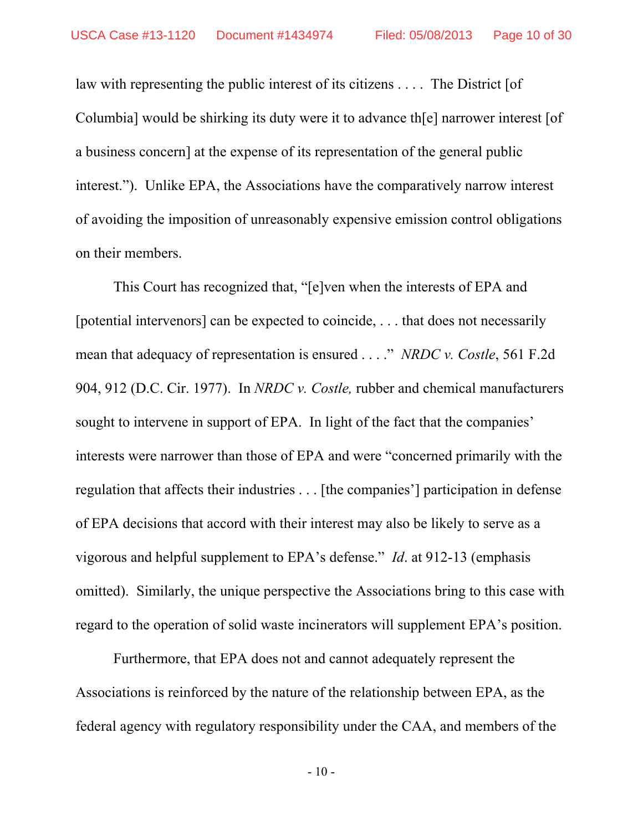law with representing the public interest of its citizens . . . . The District [of Columbia] would be shirking its duty were it to advance th[e] narrower interest [of a business concern] at the expense of its representation of the general public interest."). Unlike EPA, the Associations have the comparatively narrow interest of avoiding the imposition of unreasonably expensive emission control obligations on their members.

This Court has recognized that, "[e]ven when the interests of EPA and [potential intervenors] can be expected to coincide, . . . that does not necessarily mean that adequacy of representation is ensured . . . ." *NRDC v. Costle*, 561 F.2d 904, 912 (D.C. Cir. 1977). In *NRDC v. Costle,* rubber and chemical manufacturers sought to intervene in support of EPA. In light of the fact that the companies' interests were narrower than those of EPA and were "concerned primarily with the regulation that affects their industries . . . [the companies'] participation in defense of EPA decisions that accord with their interest may also be likely to serve as a vigorous and helpful supplement to EPA's defense." *Id*. at 912-13 (emphasis omitted). Similarly, the unique perspective the Associations bring to this case with regard to the operation of solid waste incinerators will supplement EPA's position.

Furthermore, that EPA does not and cannot adequately represent the Associations is reinforced by the nature of the relationship between EPA, as the federal agency with regulatory responsibility under the CAA, and members of the

- 10 -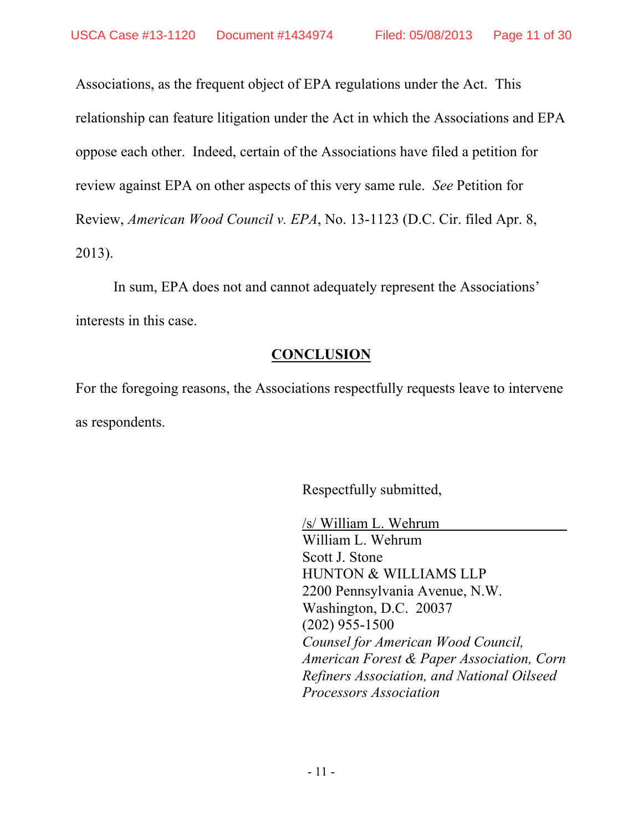Associations, as the frequent object of EPA regulations under the Act. This relationship can feature litigation under the Act in which the Associations and EPA oppose each other. Indeed, certain of the Associations have filed a petition for review against EPA on other aspects of this very same rule. *See* Petition for Review, *American Wood Council v. EPA*, No. 13-1123 (D.C. Cir. filed Apr. 8, 2013).

In sum, EPA does not and cannot adequately represent the Associations' interests in this case.

# **CONCLUSION**

For the foregoing reasons, the Associations respectfully requests leave to intervene as respondents.

Respectfully submitted,

/s/ William L. Wehrum William L. Wehrum Scott J. Stone HUNTON & WILLIAMS LLP 2200 Pennsylvania Avenue, N.W. Washington, D.C. 20037 (202) 955-1500 *Counsel for American Wood Council, American Forest & Paper Association, Corn Refiners Association, and National Oilseed Processors Association*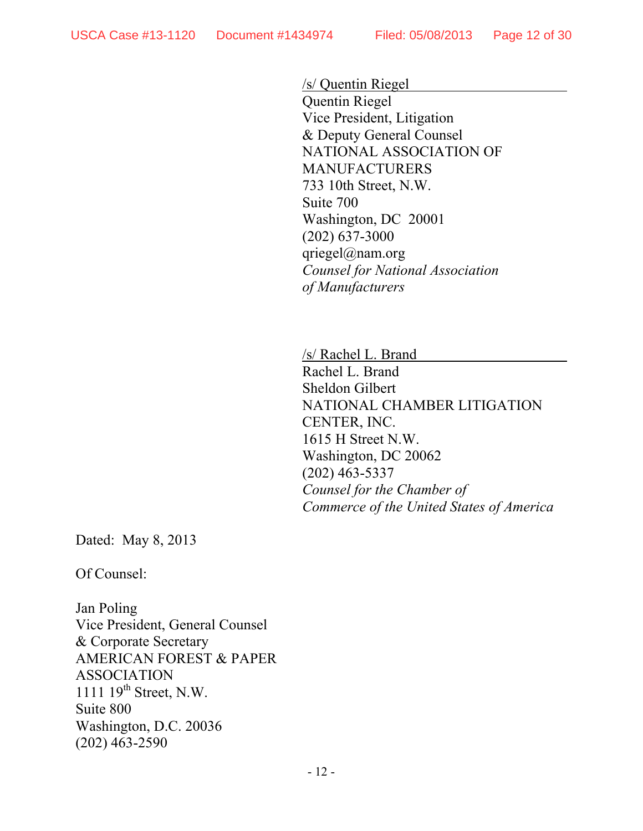/s/ Quentin Riegel Quentin Riegel Vice President, Litigation & Deputy General Counsel NATIONAL ASSOCIATION OF MANUFACTURERS 733 10th Street, N.W. Suite 700 Washington, DC 20001 (202) 637-3000 qriegel@nam.org *Counsel for National Association of Manufacturers* 

/s/ Rachel L. Brand Rachel L. Brand Sheldon Gilbert NATIONAL CHAMBER LITIGATION CENTER, INC. 1615 H Street N.W. Washington, DC 20062 (202) 463-5337 *Counsel for the Chamber of Commerce of the United States of America*

Dated: May 8, 2013

Of Counsel:

Jan Poling Vice President, General Counsel & Corporate Secretary AMERICAN FOREST & PAPER ASSOCIATION 1111 19<sup>th</sup> Street, N.W. Suite 800 Washington, D.C. 20036 (202) 463-2590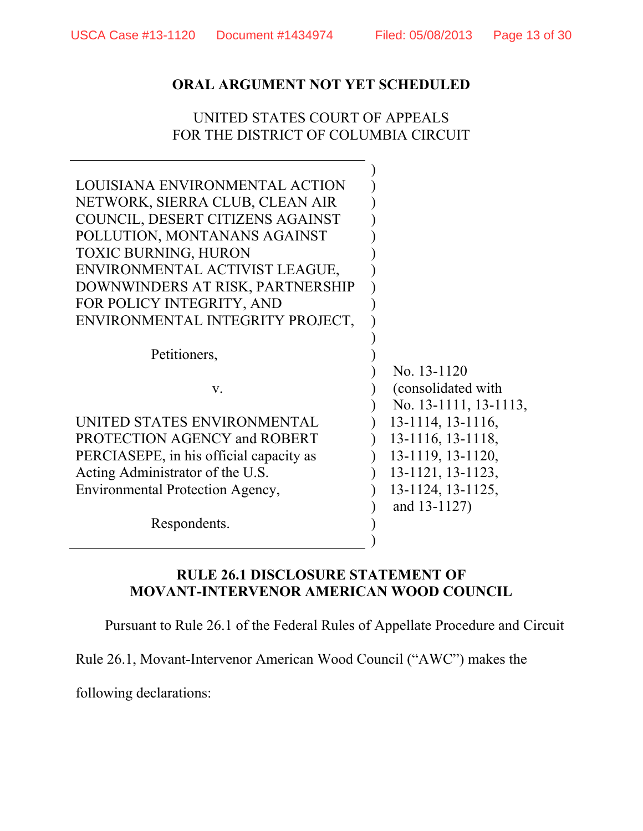## UNITED STATES COURT OF APPEALS FOR THE DISTRICT OF COLUMBIA CIRCUIT

| LOUISIANA ENVIRONMENTAL ACTION<br>NETWORK, SIERRA CLUB, CLEAN AIR<br>COUNCIL, DESERT CITIZENS AGAINST<br>POLLUTION, MONTANANS AGAINST<br><b>TOXIC BURNING, HURON</b><br>ENVIRONMENTAL ACTIVIST LEAGUE,<br>DOWNWINDERS AT RISK, PARTNERSHIP<br>FOR POLICY INTEGRITY, AND<br>ENVIRONMENTAL INTEGRITY PROJECT, |                                                             |
|-------------------------------------------------------------------------------------------------------------------------------------------------------------------------------------------------------------------------------------------------------------------------------------------------------------|-------------------------------------------------------------|
| Petitioners,                                                                                                                                                                                                                                                                                                |                                                             |
| V.                                                                                                                                                                                                                                                                                                          | No. 13-1120<br>(consolidated with)<br>No. 13-1111, 13-1113, |
| UNITED STATES ENVIRONMENTAL                                                                                                                                                                                                                                                                                 | 13-1114, 13-1116,                                           |
| PROTECTION AGENCY and ROBERT                                                                                                                                                                                                                                                                                | 13-1116, 13-1118,                                           |
| PERCIASEPE, in his official capacity as                                                                                                                                                                                                                                                                     | 13-1119, 13-1120,                                           |
| Acting Administrator of the U.S.                                                                                                                                                                                                                                                                            | 13-1121, 13-1123,                                           |
| Environmental Protection Agency,                                                                                                                                                                                                                                                                            | 13-1124, 13-1125,                                           |
| Respondents.                                                                                                                                                                                                                                                                                                | and 13-1127)                                                |

## **RULE 26.1 DISCLOSURE STATEMENT OF MOVANT-INTERVENOR AMERICAN WOOD COUNCIL**

Pursuant to Rule 26.1 of the Federal Rules of Appellate Procedure and Circuit

Rule 26.1, Movant-Intervenor American Wood Council ("AWC") makes the

following declarations: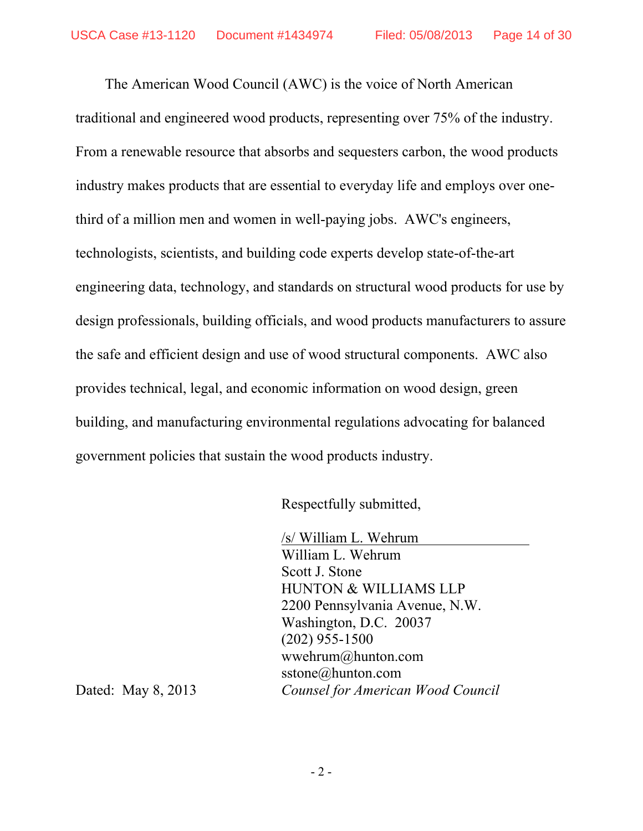The American Wood Council (AWC) is the voice of North American traditional and engineered wood products, representing over 75% of the industry. From a renewable resource that absorbs and sequesters carbon, the wood products industry makes products that are essential to everyday life and employs over onethird of a million men and women in well-paying jobs. AWC's engineers, technologists, scientists, and building code experts develop state-of-the-art engineering data, technology, and standards on structural wood products for use by design professionals, building officials, and wood products manufacturers to assure the safe and efficient design and use of wood structural components. AWC also provides technical, legal, and economic information on wood design, green building, and manufacturing environmental regulations advocating for balanced government policies that sustain the wood products industry.

Respectfully submitted,

 /s/ William L. Wehrum William L. Wehrum Scott J. Stone HUNTON & WILLIAMS LLP 2200 Pennsylvania Avenue, N.W. Washington, D.C. 20037 (202) 955-1500 wwehrum@hunton.com sstone@hunton.com Dated: May 8, 2013 *Counsel for American Wood Council*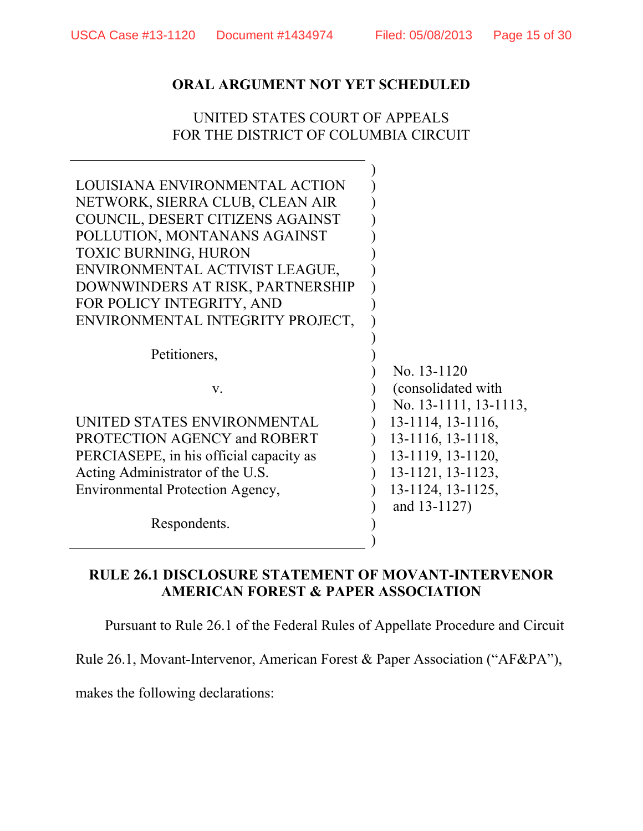## UNITED STATES COURT OF APPEALS FOR THE DISTRICT OF COLUMBIA CIRCUIT

| LOUISIANA ENVIRONMENTAL ACTION          |                         |
|-----------------------------------------|-------------------------|
| NETWORK, SIERRA CLUB, CLEAN AIR         |                         |
| COUNCIL, DESERT CITIZENS AGAINST        |                         |
| POLLUTION, MONTANANS AGAINST            |                         |
| <b>TOXIC BURNING, HURON</b>             |                         |
| ENVIRONMENTAL ACTIVIST LEAGUE,          |                         |
| DOWNWINDERS AT RISK, PARTNERSHIP        |                         |
| FOR POLICY INTEGRITY, AND               |                         |
| ENVIRONMENTAL INTEGRITY PROJECT,        |                         |
|                                         |                         |
| Petitioners,                            |                         |
|                                         | No. 13-1120             |
| V.                                      | (consolidated with)     |
|                                         | No. 13-1111, 13-1113,   |
| UNITED STATES ENVIRONMENTAL             | $13-1114$ , $13-1116$ , |
| PROTECTION AGENCY and ROBERT            | 13-1116, 13-1118,       |
| PERCIASEPE, in his official capacity as | 13-1119, 13-1120,       |
| Acting Administrator of the U.S.        | 13-1121, 13-1123,       |
| Environmental Protection Agency,        | 13-1124, 13-1125,       |
|                                         | and 13-1127)            |
| Respondents.                            |                         |
|                                         |                         |
|                                         |                         |

### **RULE 26.1 DISCLOSURE STATEMENT OF MOVANT-INTERVENOR AMERICAN FOREST & PAPER ASSOCIATION**

Pursuant to Rule 26.1 of the Federal Rules of Appellate Procedure and Circuit

Rule 26.1, Movant-Intervenor, American Forest & Paper Association ("AF&PA"),

makes the following declarations: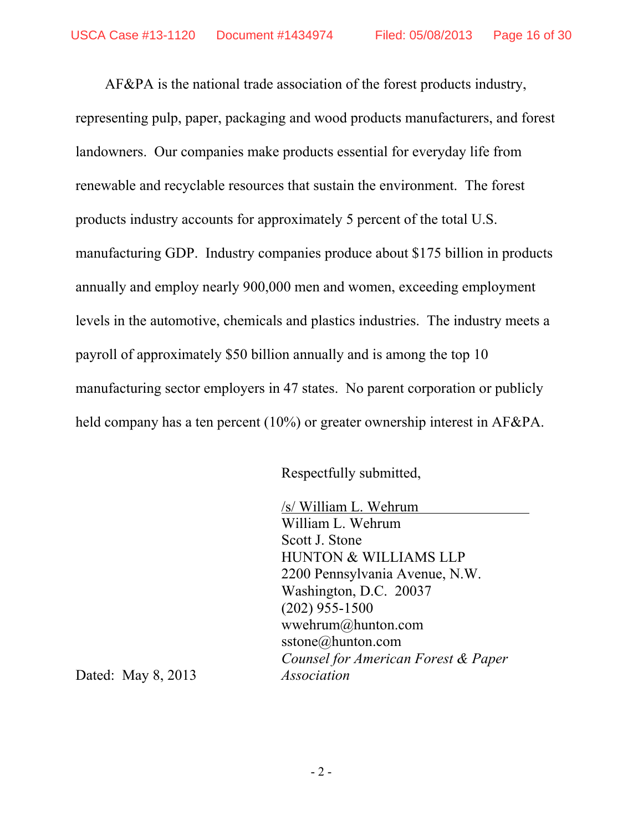AF&PA is the national trade association of the forest products industry, representing pulp, paper, packaging and wood products manufacturers, and forest landowners. Our companies make products essential for everyday life from renewable and recyclable resources that sustain the environment. The forest products industry accounts for approximately 5 percent of the total U.S. manufacturing GDP. Industry companies produce about \$175 billion in products annually and employ nearly 900,000 men and women, exceeding employment levels in the automotive, chemicals and plastics industries. The industry meets a payroll of approximately \$50 billion annually and is among the top 10 manufacturing sector employers in 47 states. No parent corporation or publicly held company has a ten percent (10%) or greater ownership interest in AF&PA.

Respectfully submitted,

 /s/ William L. Wehrum William L. Wehrum Scott J. Stone HUNTON & WILLIAMS LLP 2200 Pennsylvania Avenue, N.W. Washington, D.C. 20037 (202) 955-1500 wwehrum@hunton.com sstone@hunton.com *Counsel for American Forest & Paper* 

Dated: May 8, 2013 *Association*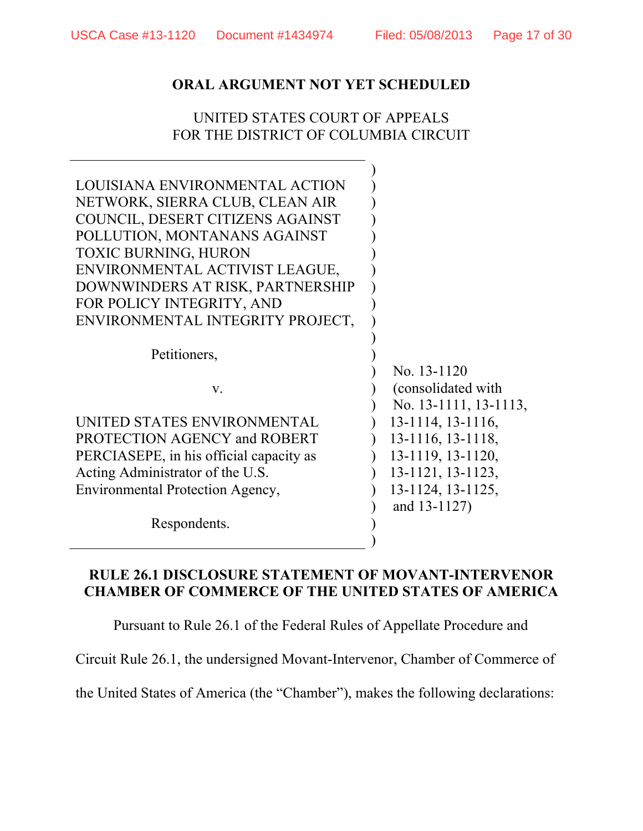## UNITED STATES COURT OF APPEALS FOR THE DISTRICT OF COLUMBIA CIRCUIT

| LOUISIANA ENVIRONMENTAL ACTION<br>NETWORK, SIERRA CLUB, CLEAN AIR<br>COUNCIL, DESERT CITIZENS AGAINST<br>POLLUTION, MONTANANS AGAINST |                         |
|---------------------------------------------------------------------------------------------------------------------------------------|-------------------------|
| <b>TOXIC BURNING, HURON</b>                                                                                                           |                         |
| ENVIRONMENTAL ACTIVIST LEAGUE,                                                                                                        |                         |
| DOWNWINDERS AT RISK, PARTNERSHIP                                                                                                      |                         |
| FOR POLICY INTEGRITY, AND                                                                                                             |                         |
| ENVIRONMENTAL INTEGRITY PROJECT,                                                                                                      |                         |
|                                                                                                                                       |                         |
| Petitioners,                                                                                                                          |                         |
|                                                                                                                                       | No. 13-1120             |
| $V_{\cdot}$                                                                                                                           | (consolidated with)     |
|                                                                                                                                       | No. 13-1111, 13-1113,   |
| UNITED STATES ENVIRONMENTAL                                                                                                           | $13-1114$ , $13-1116$ , |
| PROTECTION AGENCY and ROBERT                                                                                                          | 13-1116, 13-1118,       |
| PERCIASEPE, in his official capacity as                                                                                               | 13-1119, 13-1120,       |
| Acting Administrator of the U.S.                                                                                                      | 13-1121, 13-1123,       |
| Environmental Protection Agency,                                                                                                      | $13-1124$ , $13-1125$ , |
|                                                                                                                                       | and 13-1127)            |
| Respondents.                                                                                                                          |                         |
|                                                                                                                                       |                         |

#### **RULE 26.1 DISCLOSURE STATEMENT OF MOVANT-INTERVENOR CHAMBER OF COMMERCE OF THE UNITED STATES OF AMERICA**

Pursuant to Rule 26.1 of the Federal Rules of Appellate Procedure and

Circuit Rule 26.1, the undersigned Movant-Intervenor, Chamber of Commerce of

the United States of America (the "Chamber"), makes the following declarations: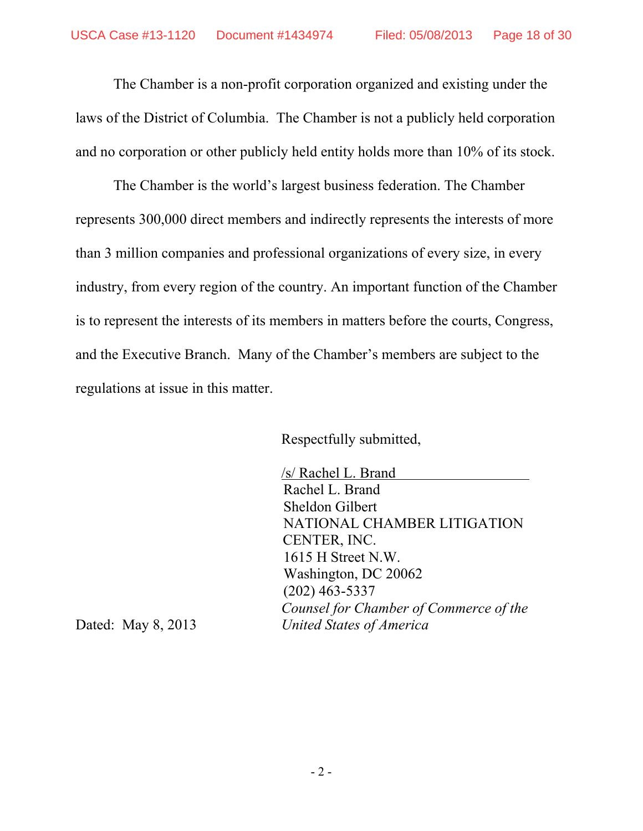The Chamber is a non-profit corporation organized and existing under the laws of the District of Columbia. The Chamber is not a publicly held corporation and no corporation or other publicly held entity holds more than 10% of its stock.

 The Chamber is the world's largest business federation. The Chamber represents 300,000 direct members and indirectly represents the interests of more than 3 million companies and professional organizations of every size, in every industry, from every region of the country. An important function of the Chamber is to represent the interests of its members in matters before the courts, Congress, and the Executive Branch. Many of the Chamber's members are subject to the regulations at issue in this matter.

Respectfully submitted,

 /s/ Rachel L. Brand Rachel L. Brand Sheldon Gilbert NATIONAL CHAMBER LITIGATION CENTER, INC. 1615 H Street N.W. Washington, DC 20062 (202) 463-5337 *Counsel for Chamber of Commerce of the*  Dated: May 8, 2013 *United States of America*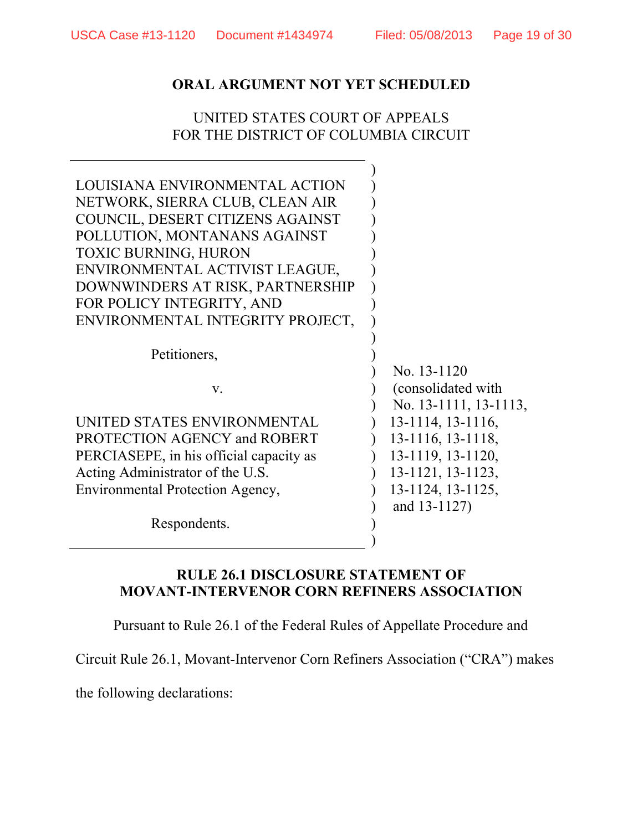## UNITED STATES COURT OF APPEALS FOR THE DISTRICT OF COLUMBIA CIRCUIT

 $\mathbb{R}$ 

| LOUISIANA ENVIRONMENTAL ACTION          |                       |
|-----------------------------------------|-----------------------|
| NETWORK, SIERRA CLUB, CLEAN AIR         |                       |
| COUNCIL, DESERT CITIZENS AGAINST        |                       |
| POLLUTION, MONTANANS AGAINST            |                       |
| <b>TOXIC BURNING, HURON</b>             |                       |
| ENVIRONMENTAL ACTIVIST LEAGUE,          |                       |
| DOWNWINDERS AT RISK, PARTNERSHIP        |                       |
| FOR POLICY INTEGRITY, AND               |                       |
| ENVIRONMENTAL INTEGRITY PROJECT,        |                       |
|                                         |                       |
| Petitioners,                            |                       |
|                                         | No. 13-1120           |
| $V_{\cdot}$                             | (consolidated with)   |
|                                         | No. 13-1111, 13-1113, |
| UNITED STATES ENVIRONMENTAL             | 13-1114, 13-1116,     |
| PROTECTION AGENCY and ROBERT            | 13-1116, 13-1118,     |
| PERCIASEPE, in his official capacity as | 13-1119, 13-1120,     |
| Acting Administrator of the U.S.        | 13-1121, 13-1123,     |
| Environmental Protection Agency,        | 13-1124, 13-1125,     |
|                                         | and 13-1127)          |
| Respondents.                            |                       |
|                                         |                       |

## **RULE 26.1 DISCLOSURE STATEMENT OF MOVANT-INTERVENOR CORN REFINERS ASSOCIATION**

Pursuant to Rule 26.1 of the Federal Rules of Appellate Procedure and

Circuit Rule 26.1, Movant-Intervenor Corn Refiners Association ("CRA") makes

the following declarations: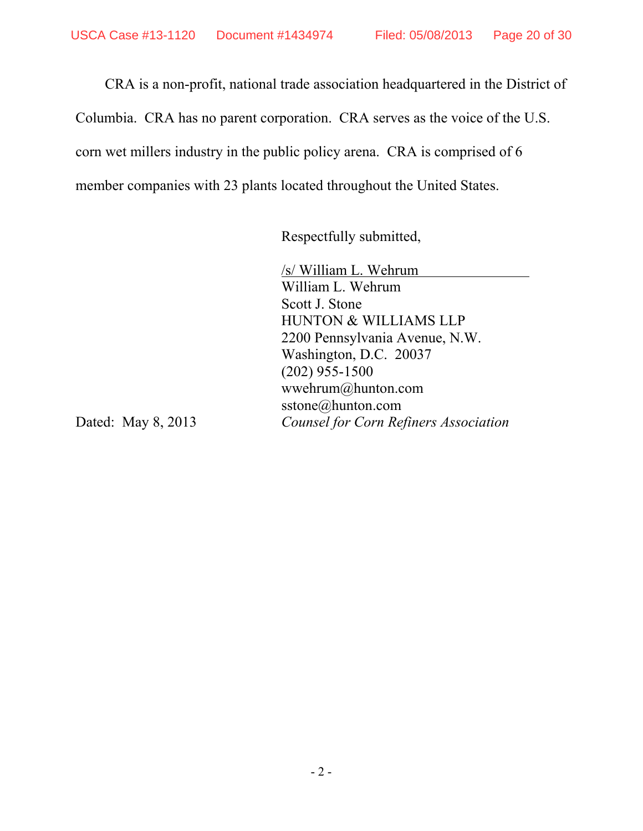CRA is a non-profit, national trade association headquartered in the District of Columbia. CRA has no parent corporation. CRA serves as the voice of the U.S. corn wet millers industry in the public policy arena. CRA is comprised of 6 member companies with 23 plants located throughout the United States.

Respectfully submitted,

 /s/ William L. Wehrum William L. Wehrum Scott J. Stone HUNTON & WILLIAMS LLP 2200 Pennsylvania Avenue, N.W. Washington, D.C. 20037 (202) 955-1500 wwehrum@hunton.com sstone@hunton.com Dated: May 8, 2013 *Counsel for Corn Refiners Association*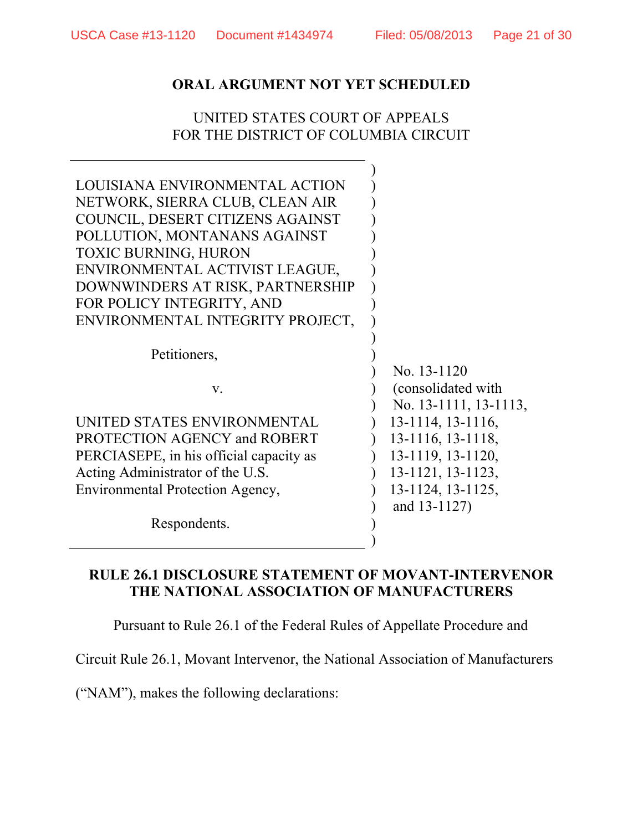## UNITED STATES COURT OF APPEALS FOR THE DISTRICT OF COLUMBIA CIRCUIT

| LOUISIANA ENVIRONMENTAL ACTION<br>NETWORK, SIERRA CLUB, CLEAN AIR<br>COUNCIL, DESERT CITIZENS AGAINST<br>POLLUTION, MONTANANS AGAINST<br><b>TOXIC BURNING, HURON</b><br>ENVIRONMENTAL ACTIVIST LEAGUE,<br>DOWNWINDERS AT RISK, PARTNERSHIP |                                                             |
|--------------------------------------------------------------------------------------------------------------------------------------------------------------------------------------------------------------------------------------------|-------------------------------------------------------------|
| FOR POLICY INTEGRITY, AND                                                                                                                                                                                                                  |                                                             |
| ENVIRONMENTAL INTEGRITY PROJECT,                                                                                                                                                                                                           |                                                             |
| Petitioners,<br>V.                                                                                                                                                                                                                         | No. 13-1120<br>(consolidated with)<br>No. 13-1111, 13-1113, |
| UNITED STATES ENVIRONMENTAL                                                                                                                                                                                                                | $13-1114$ , $13-1116$ ,                                     |
| PROTECTION AGENCY and ROBERT                                                                                                                                                                                                               | 13-1116, 13-1118,                                           |
| PERCIASEPE, in his official capacity as                                                                                                                                                                                                    | 13-1119, 13-1120,                                           |
| Acting Administrator of the U.S.                                                                                                                                                                                                           | 13-1121, 13-1123,                                           |
| Environmental Protection Agency,                                                                                                                                                                                                           | 13-1124, 13-1125,<br>and 13-1127)                           |
| Respondents.                                                                                                                                                                                                                               |                                                             |

## **RULE 26.1 DISCLOSURE STATEMENT OF MOVANT-INTERVENOR THE NATIONAL ASSOCIATION OF MANUFACTURERS**

Pursuant to Rule 26.1 of the Federal Rules of Appellate Procedure and

Circuit Rule 26.1, Movant Intervenor, the National Association of Manufacturers

("NAM"), makes the following declarations: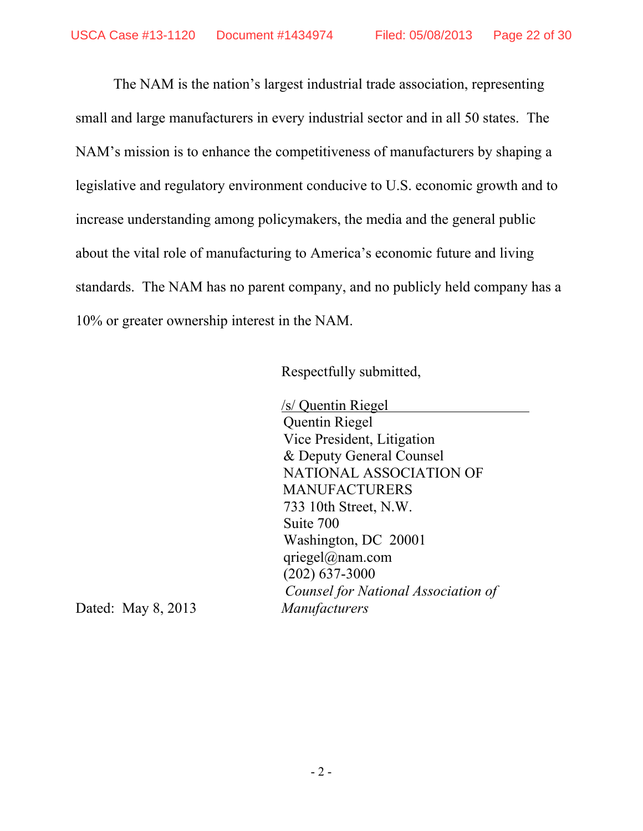The NAM is the nation's largest industrial trade association, representing small and large manufacturers in every industrial sector and in all 50 states. The NAM's mission is to enhance the competitiveness of manufacturers by shaping a legislative and regulatory environment conducive to U.S. economic growth and to increase understanding among policymakers, the media and the general public about the vital role of manufacturing to America's economic future and living standards. The NAM has no parent company, and no publicly held company has a 10% or greater ownership interest in the NAM.

Respectfully submitted,

 /s/ Quentin Riegel Quentin Riegel Vice President, Litigation & Deputy General Counsel NATIONAL ASSOCIATION OF **MANUFACTURERS** 733 10th Street, N.W. Suite 700 Washington, DC 20001 qriegel@nam.com (202) 637-3000 *Counsel for National Association of* 

Dated: May 8, 2013 *Manufacturers*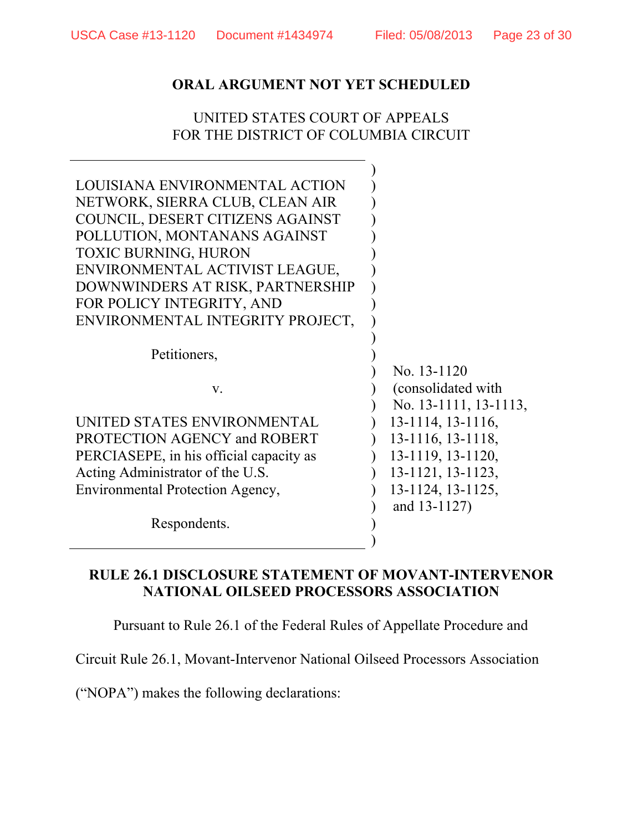## UNITED STATES COURT OF APPEALS FOR THE DISTRICT OF COLUMBIA CIRCUIT

)

| LOUISIANA ENVIRONMENTAL ACTION          |                         |
|-----------------------------------------|-------------------------|
| NETWORK, SIERRA CLUB, CLEAN AIR         |                         |
| COUNCIL, DESERT CITIZENS AGAINST        |                         |
| POLLUTION, MONTANANS AGAINST            |                         |
| <b>TOXIC BURNING, HURON</b>             |                         |
| ENVIRONMENTAL ACTIVIST LEAGUE,          |                         |
| DOWNWINDERS AT RISK, PARTNERSHIP        |                         |
| FOR POLICY INTEGRITY, AND               |                         |
| ENVIRONMENTAL INTEGRITY PROJECT,        |                         |
|                                         |                         |
| Petitioners,                            |                         |
|                                         | No. 13-1120             |
| $V_{\cdot}$                             | (consolidated with)     |
|                                         | No. 13-1111, 13-1113,   |
| UNITED STATES ENVIRONMENTAL             | 13-1114, 13-1116,       |
| PROTECTION AGENCY and ROBERT            | 13-1116, 13-1118,       |
| PERCIASEPE, in his official capacity as | $13-1119$ , $13-1120$ , |
| Acting Administrator of the U.S.        | 13-1121, 13-1123,       |
| Environmental Protection Agency,        | 13-1124, 13-1125,       |
|                                         | and 13-1127)            |
| Respondents.                            |                         |
|                                         |                         |

## **RULE 26.1 DISCLOSURE STATEMENT OF MOVANT-INTERVENOR NATIONAL OILSEED PROCESSORS ASSOCIATION**

Pursuant to Rule 26.1 of the Federal Rules of Appellate Procedure and

Circuit Rule 26.1, Movant-Intervenor National Oilseed Processors Association

("NOPA") makes the following declarations: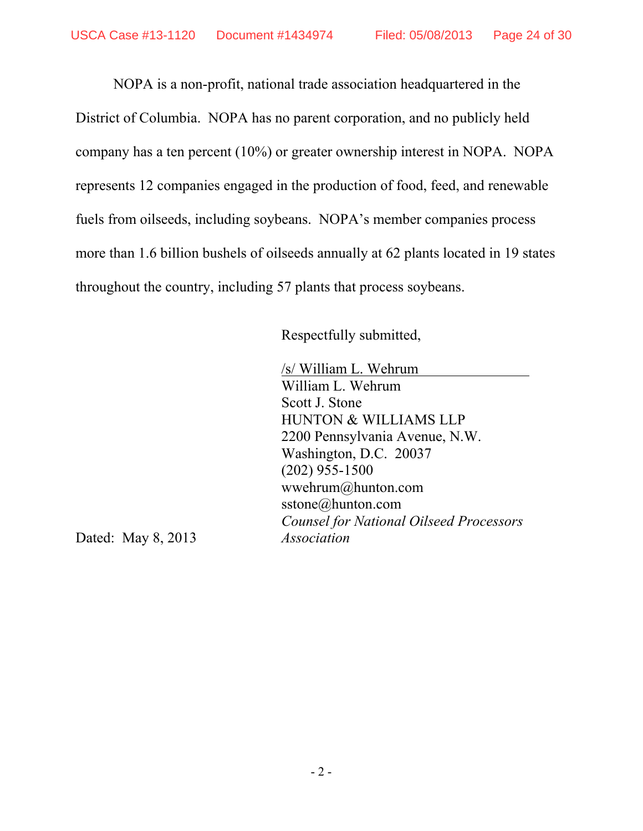NOPA is a non-profit, national trade association headquartered in the District of Columbia. NOPA has no parent corporation, and no publicly held company has a ten percent (10%) or greater ownership interest in NOPA. NOPA represents 12 companies engaged in the production of food, feed, and renewable fuels from oilseeds, including soybeans. NOPA's member companies process more than 1.6 billion bushels of oilseeds annually at 62 plants located in 19 states throughout the country, including 57 plants that process soybeans.

Respectfully submitted,

 /s/ William L. Wehrum William L. Wehrum Scott J. Stone HUNTON & WILLIAMS LLP 2200 Pennsylvania Avenue, N.W. Washington, D.C. 20037 (202) 955-1500 wwehrum@hunton.com sstone@hunton.com *Counsel for National Oilseed Processors* 

Dated: May 8, 2013 *Association*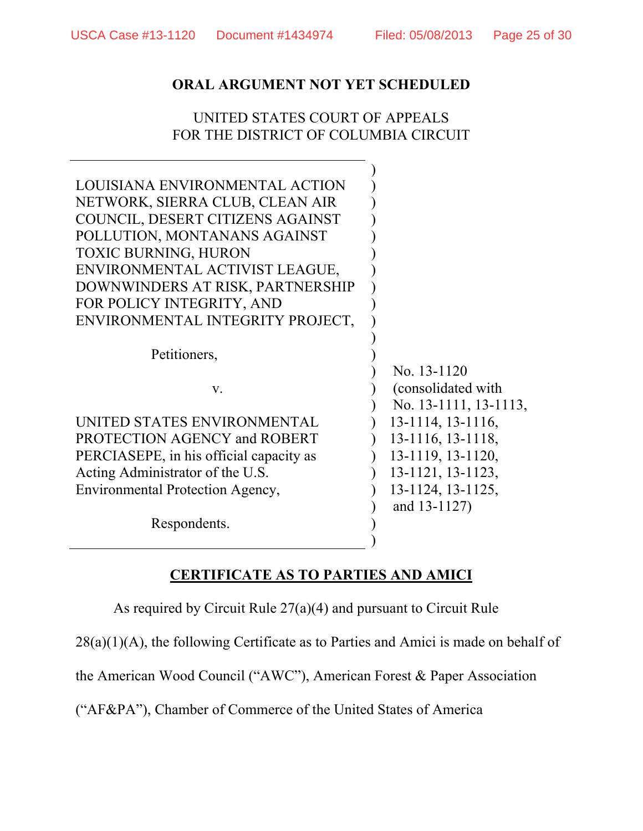## UNITED STATES COURT OF APPEALS FOR THE DISTRICT OF COLUMBIA CIRCUIT

| LOUISIANA ENVIRONMENTAL ACTION<br>NETWORK, SIERRA CLUB, CLEAN AIR<br>COUNCIL, DESERT CITIZENS AGAINST<br>POLLUTION, MONTANANS AGAINST<br><b>TOXIC BURNING, HURON</b><br>ENVIRONMENTAL ACTIVIST LEAGUE,<br>DOWNWINDERS AT RISK, PARTNERSHIP<br>FOR POLICY INTEGRITY, AND<br>ENVIRONMENTAL INTEGRITY PROJECT, |                                                             |
|-------------------------------------------------------------------------------------------------------------------------------------------------------------------------------------------------------------------------------------------------------------------------------------------------------------|-------------------------------------------------------------|
| Petitioners,                                                                                                                                                                                                                                                                                                |                                                             |
| V.                                                                                                                                                                                                                                                                                                          | No. 13-1120<br>(consolidated with)<br>No. 13-1111, 13-1113, |
| UNITED STATES ENVIRONMENTAL                                                                                                                                                                                                                                                                                 | 13-1114, 13-1116,                                           |
| PROTECTION AGENCY and ROBERT                                                                                                                                                                                                                                                                                | 13-1116, 13-1118,                                           |
| PERCIASEPE, in his official capacity as                                                                                                                                                                                                                                                                     | 13-1119, 13-1120,                                           |
| Acting Administrator of the U.S.                                                                                                                                                                                                                                                                            | 13-1121, 13-1123,                                           |
| Environmental Protection Agency,                                                                                                                                                                                                                                                                            | 13-1124, 13-1125,                                           |
| Respondents.                                                                                                                                                                                                                                                                                                | and 13-1127)                                                |

# **CERTIFICATE AS TO PARTIES AND AMICI**

As required by Circuit Rule 27(a)(4) and pursuant to Circuit Rule

 $28(a)(1)(A)$ , the following Certificate as to Parties and Amici is made on behalf of

the American Wood Council ("AWC"), American Forest & Paper Association

("AF&PA"), Chamber of Commerce of the United States of America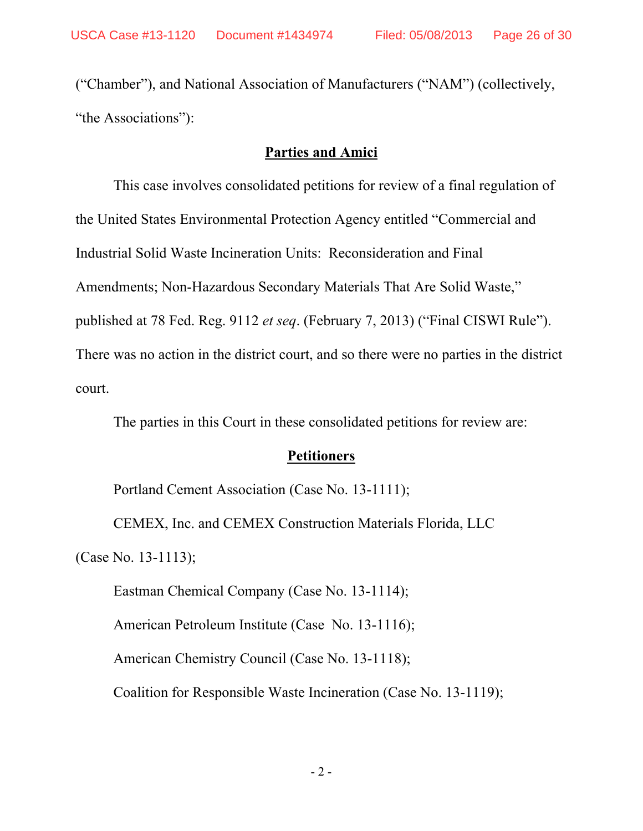("Chamber"), and National Association of Manufacturers ("NAM") (collectively, "the Associations"):

#### **Parties and Amici**

 This case involves consolidated petitions for review of a final regulation of the United States Environmental Protection Agency entitled "Commercial and Industrial Solid Waste Incineration Units: Reconsideration and Final Amendments; Non-Hazardous Secondary Materials That Are Solid Waste," published at 78 Fed. Reg. 9112 *et seq*. (February 7, 2013) ("Final CISWI Rule"). There was no action in the district court, and so there were no parties in the district court.

The parties in this Court in these consolidated petitions for review are:

#### **Petitioners**

Portland Cement Association (Case No. 13-1111);

CEMEX, Inc. and CEMEX Construction Materials Florida, LLC

(Case No. 13-1113);

Eastman Chemical Company (Case No. 13-1114);

American Petroleum Institute (Case No. 13-1116);

American Chemistry Council (Case No. 13-1118);

Coalition for Responsible Waste Incineration (Case No. 13-1119);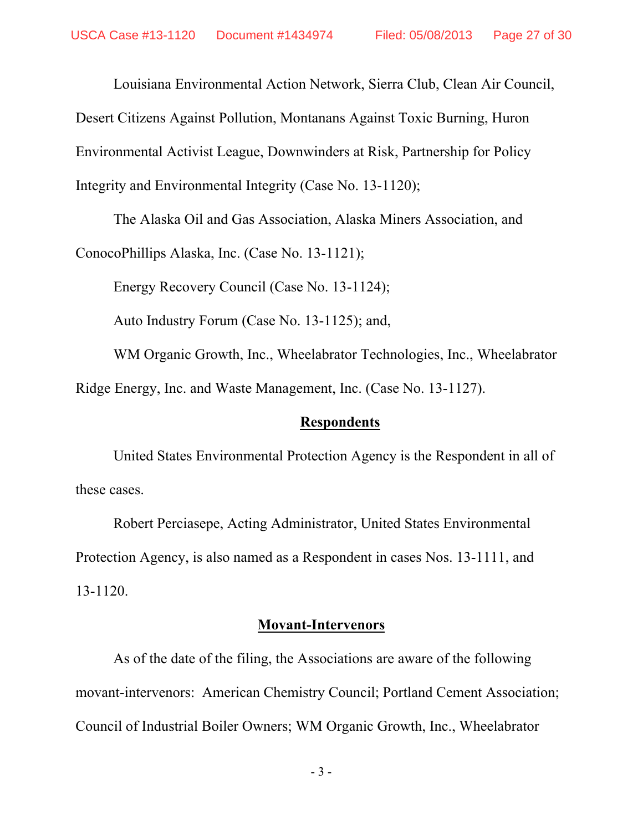Louisiana Environmental Action Network, Sierra Club, Clean Air Council,

Desert Citizens Against Pollution, Montanans Against Toxic Burning, Huron

Environmental Activist League, Downwinders at Risk, Partnership for Policy

Integrity and Environmental Integrity (Case No. 13-1120);

The Alaska Oil and Gas Association, Alaska Miners Association, and

ConocoPhillips Alaska, Inc. (Case No. 13-1121);

Energy Recovery Council (Case No. 13-1124);

Auto Industry Forum (Case No. 13-1125); and,

WM Organic Growth, Inc., Wheelabrator Technologies, Inc., Wheelabrator Ridge Energy, Inc. and Waste Management, Inc. (Case No. 13-1127).

### **Respondents**

United States Environmental Protection Agency is the Respondent in all of these cases.

Robert Perciasepe, Acting Administrator, United States Environmental Protection Agency, is also named as a Respondent in cases Nos. 13-1111, and 13-1120.

#### **Movant-Intervenors**

As of the date of the filing, the Associations are aware of the following movant-intervenors: American Chemistry Council; Portland Cement Association; Council of Industrial Boiler Owners; WM Organic Growth, Inc., Wheelabrator

- 3 -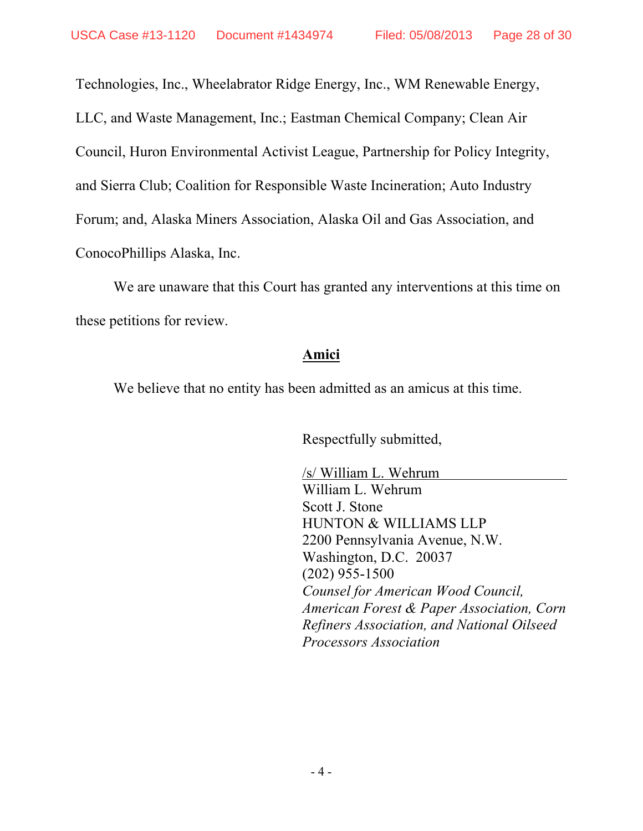Technologies, Inc., Wheelabrator Ridge Energy, Inc., WM Renewable Energy,

LLC, and Waste Management, Inc.; Eastman Chemical Company; Clean Air

Council, Huron Environmental Activist League, Partnership for Policy Integrity,

and Sierra Club; Coalition for Responsible Waste Incineration; Auto Industry

Forum; and, Alaska Miners Association, Alaska Oil and Gas Association, and

ConocoPhillips Alaska, Inc.

We are unaware that this Court has granted any interventions at this time on these petitions for review.

## **Amici**

We believe that no entity has been admitted as an amicus at this time.

Respectfully submitted,

/s/ William L. Wehrum William L. Wehrum Scott J. Stone HUNTON & WILLIAMS LLP 2200 Pennsylvania Avenue, N.W. Washington, D.C. 20037 (202) 955-1500 *Counsel for American Wood Council, American Forest & Paper Association, Corn Refiners Association, and National Oilseed Processors Association*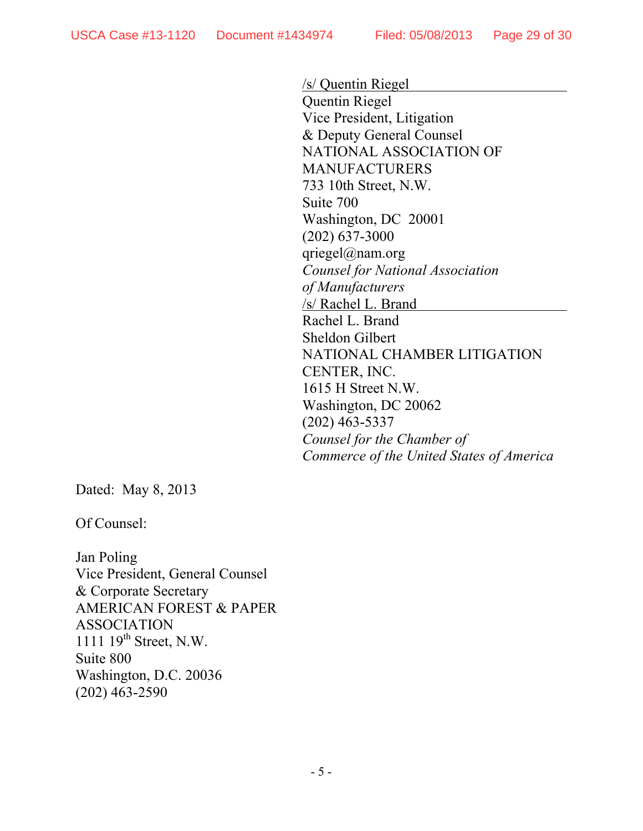/s/ Quentin Riegel Quentin Riegel Vice President, Litigation & Deputy General Counsel NATIONAL ASSOCIATION OF MANUFACTURERS 733 10th Street, N.W. Suite 700 Washington, DC 20001 (202) 637-3000 qriegel@nam.org *Counsel for National Association of Manufacturers*  /s/ Rachel L. Brand Rachel L. Brand Sheldon Gilbert NATIONAL CHAMBER LITIGATION CENTER, INC. 1615 H Street N.W. Washington, DC 20062 (202) 463-5337 *Counsel for the Chamber of Commerce of the United States of America*

Dated: May 8, 2013

Of Counsel:

Jan Poling Vice President, General Counsel & Corporate Secretary AMERICAN FOREST & PAPER ASSOCIATION 1111 19<sup>th</sup> Street, N.W. Suite 800 Washington, D.C. 20036 (202) 463-2590